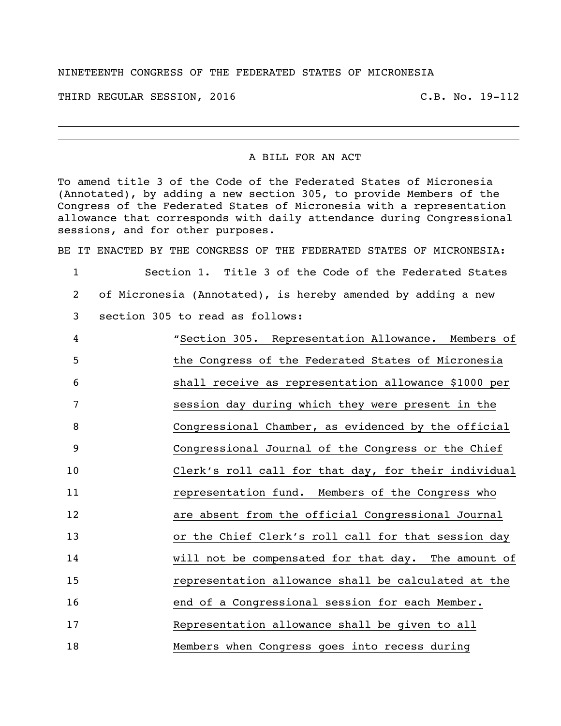## NINETEENTH CONGRESS OF THE FEDERATED STATES OF MICRONESIA

THIRD REGULAR SESSION, 2016 C.B. No. 19-112

## A BILL FOR AN ACT

To amend title 3 of the Code of the Federated States of Micronesia (Annotated), by adding a new section 305, to provide Members of the Congress of the Federated States of Micronesia with a representation allowance that corresponds with daily attendance during Congressional sessions, and for other purposes.

BE IT ENACTED BY THE CONGRESS OF THE FEDERATED STATES OF MICRONESIA:

 Section 1. Title 3 of the Code of the Federated States of Micronesia (Annotated), is hereby amended by adding a new section 305 to read as follows:

| $\overline{4}$ | "Section 305. Representation Allowance. Members of   |
|----------------|------------------------------------------------------|
| 5              | the Congress of the Federated States of Micronesia   |
| 6              | shall receive as representation allowance \$1000 per |
| 7              | session day during which they were present in the    |
| 8              | Congressional Chamber, as evidenced by the official  |
| 9              | Congressional Journal of the Congress or the Chief   |
| 10             | Clerk's roll call for that day, for their individual |
| 11             | representation fund. Members of the Congress who     |
| 12             | are absent from the official Congressional Journal   |
| 13             | or the Chief Clerk's roll call for that session day  |
| 14             | will not be compensated for that day. The amount of  |
| 15             | representation allowance shall be calculated at the  |
| 16             | end of a Congressional session for each Member.      |
| 17             | Representation allowance shall be given to all       |
| 18             | Members when Congress goes into recess during        |